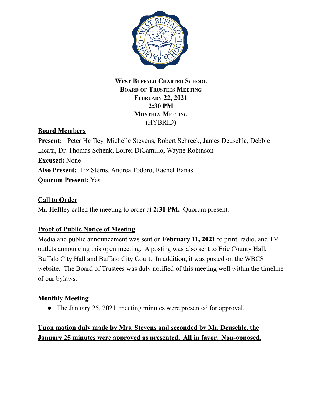

## **WEST BUFFALO CHARTER SCHOOL BOARD OF TRUSTEES MEETING FEBRUARY 22, 2021 2:30 PM MONTHLY MEETING (**HYBRID**)**

# **Board Members**

**Present:** Peter Heffley, Michelle Stevens, Robert Schreck, James Deuschle, Debbie Licata, Dr. Thomas Schenk, Lorrei DiCamillo, Wayne Robinson **Excused:** None **Also Present:** Liz Sterns, Andrea Todoro, Rachel Banas **Quorum Present:** Yes

## **Call to Order**

Mr. Heffley called the meeting to order at **2:31 PM.** Quorum present.

## **Proof of Public Notice of Meeting**

Media and public announcement was sent on **February 11, 2021** to print, radio, and TV outlets announcing this open meeting. A posting was also sent to Erie County Hall, Buffalo City Hall and Buffalo City Court. In addition, it was posted on the WBCS website. The Board of Trustees was duly notified of this meeting well within the timeline of our bylaws.

## **Monthly Meeting**

• The January 25, 2021 meeting minutes were presented for approval.

# **Upon motion duly made by Mrs. Stevens and seconded by Mr. Deuschle, the January 25 minutes were approved as presented. All in favor. Non-opposed.**